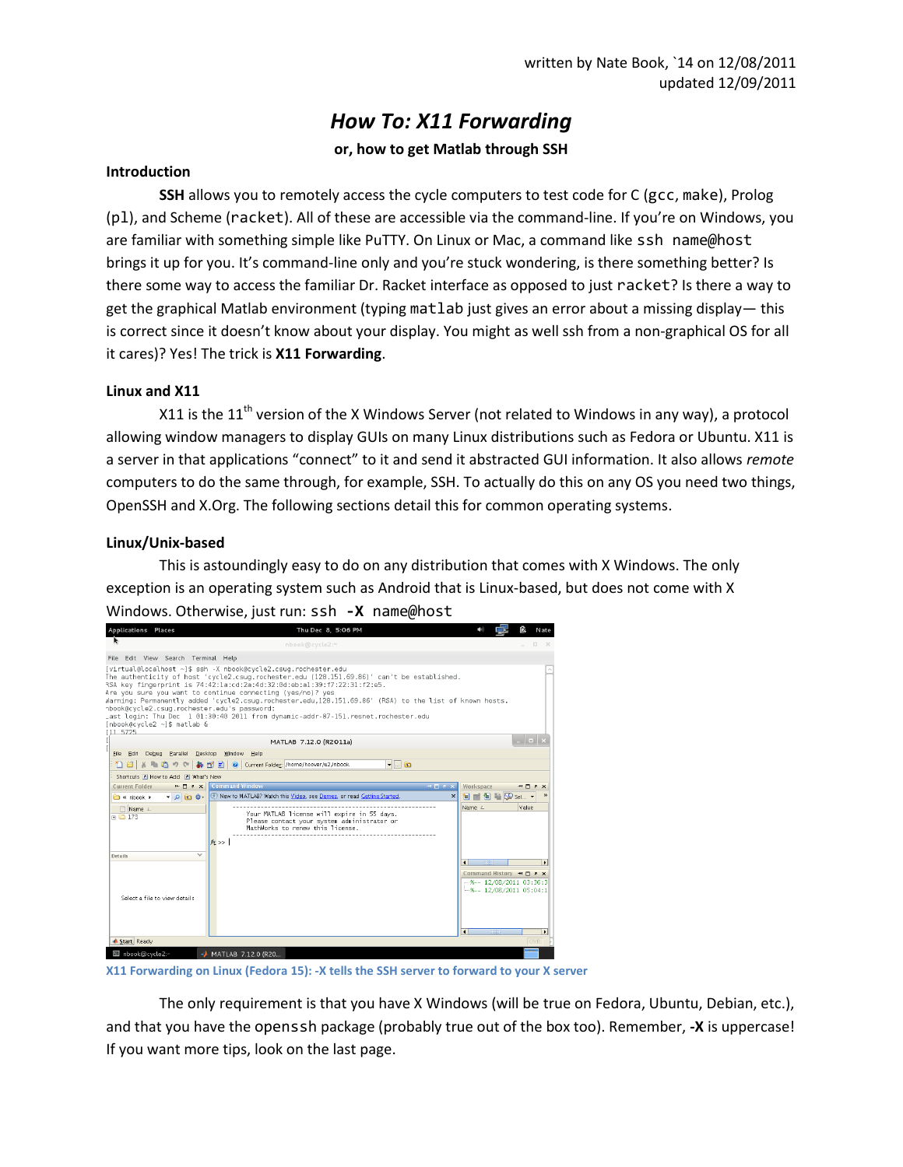# *How To: X11 Forwarding*

# **or, how to get Matlab through SSH**

# **Introduction**

**SSH** allows you to remotely access the cycle computers to test code for C (gcc, make), Prolog (pl), and Scheme (racket). All of these are accessible via the command-line. If you're on Windows, you are familiar with something simple like PuTTY. On Linux or Mac, a command like ssh name@host brings it up for you. It's command-line only and you're stuck wondering, is there something better? Is there some way to access the familiar Dr. Racket interface as opposed to just racket? Is there a way to get the graphical Matlab environment (typing matlab just gives an error about a missing display— this is correct since it doesn't know about your display. You might as well ssh from a non-graphical OS for all it cares)? Yes! The trick is **X11 Forwarding**.

# **Linux and X11**

X11 is the  $11^{th}$  version of the X Windows Server (not related to Windows in any way), a protocol allowing window managers to display GUIs on many Linux distributions such as Fedora or Ubuntu. X11 is a server in that applications "connect" to it and send it abstracted GUI information. It also allows *remote* computers to do the same through, for example, SSH. To actually do this on any OS you need two things, OpenSSH and X.Org. The following sections detail this for common operating systems.

# **Linux/Unix-based**

This is astoundingly easy to do on any distribution that comes with X Windows. The only exception is an operating system such as Android that is Linux-based, but does not come with X Windows. Otherwise, just run: ssh **-X** name@host

| <b>Applications Places</b>                                                             | Thu Dec 8, 5:06 PM                                                                                                                                                                                                                                                                                                                                                                                                                                                                                   | ß.<br>Nate                                                                          |
|----------------------------------------------------------------------------------------|------------------------------------------------------------------------------------------------------------------------------------------------------------------------------------------------------------------------------------------------------------------------------------------------------------------------------------------------------------------------------------------------------------------------------------------------------------------------------------------------------|-------------------------------------------------------------------------------------|
|                                                                                        | nbook@cycle2:"                                                                                                                                                                                                                                                                                                                                                                                                                                                                                       | Π.<br>$\sim$                                                                        |
| File Edit View Search Terminal Help                                                    |                                                                                                                                                                                                                                                                                                                                                                                                                                                                                                      |                                                                                     |
| hbook@cycle2.csug.rochester.edu's password:<br>[nbook@cvcle2 ~1\$ matlab &<br>[1] 5725 | [virtual@localhost ~]\$ ssh -X nbook@cycle2.csug.rochester.edu<br>The authenticity of host 'cycle2.csug.rochester.edu (128.151.69.86)' can't be established.<br>RSA key fingerprint is 74:42:1a:cd:2a:4d:32:0d:eb:a1:39:f7:22:31:f2:e5.<br>Are you sure you want to continue connecting (yes/no)? yes<br>warning: Permanently added 'cycle2.csug.rochester.edu,128.151.69.86' (RSA) to the list of known hosts.<br>_ast login: Thu Dec 1 01:30:40 2011 from dynamic-addr-87-151.resnet.rochester.edu |                                                                                     |
|                                                                                        | MATLAB 7.12.0 (R2011a)                                                                                                                                                                                                                                                                                                                                                                                                                                                                               | $\Box$ $\rightarrow$                                                                |
| Eile Edit<br>Debug<br>Parallel Desktop                                                 | <b>Window</b><br>Help                                                                                                                                                                                                                                                                                                                                                                                                                                                                                |                                                                                     |
| 脂肪<br>nai                                                                              | Current Folder /home/hoover/u2/nbook<br>$-1$ $\bullet$<br>■ ■<br>$\bullet$                                                                                                                                                                                                                                                                                                                                                                                                                           |                                                                                     |
| Shortcuts I How to Add I What's New                                                    |                                                                                                                                                                                                                                                                                                                                                                                                                                                                                                      |                                                                                     |
| <b>Current Folder</b><br>$x \in \Box +$                                                | <b>Command Window</b><br>中日不文                                                                                                                                                                                                                                                                                                                                                                                                                                                                        | Workspace<br>$+$ $ +$ $\times$                                                      |
| $\Box$ « nbook $\blacktriangleright$<br>・の面容・                                          | T New to MATLAB? Watch this Video, see Demos, or read Getting Started.<br>$\pmb{\times}$                                                                                                                                                                                                                                                                                                                                                                                                             | <b>TELES AREA</b> Sel -                                                             |
| Name 4<br>$\blacksquare$ 173                                                           | Your MATLAB license will expire in 55 days.<br>Please contact your system administrator or<br>MathWorks to renew this license.<br>$fx \gg$                                                                                                                                                                                                                                                                                                                                                           | Value<br>Name $\angle$                                                              |
| $\checkmark$<br><b>Details</b>                                                         |                                                                                                                                                                                                                                                                                                                                                                                                                                                                                                      | $\blacksquare$<br>3336                                                              |
| Select a file to view details.                                                         |                                                                                                                                                                                                                                                                                                                                                                                                                                                                                                      | Command History → ロ , x<br>$-$ %-- 12/08/2011 03:36:3<br>$-$ %-- 12/08/2011 05:04:1 |
| Start Ready                                                                            |                                                                                                                                                                                                                                                                                                                                                                                                                                                                                                      | $\blacksquare$<br>32223<br>٠<br><b>OVR</b>                                          |
|                                                                                        |                                                                                                                                                                                                                                                                                                                                                                                                                                                                                                      |                                                                                     |
| nbook@cvcle2:~                                                                         | <b>MATLAB 7.12.0 (R20</b>                                                                                                                                                                                                                                                                                                                                                                                                                                                                            |                                                                                     |

**X11 Forwarding on Linux (Fedora 15): -X tells the SSH server to forward to your X server**

The only requirement is that you have X Windows (will be true on Fedora, Ubuntu, Debian, etc.), and that you have the openssh package (probably true out of the box too). Remember, **-X** is uppercase! If you want more tips, look on the last page.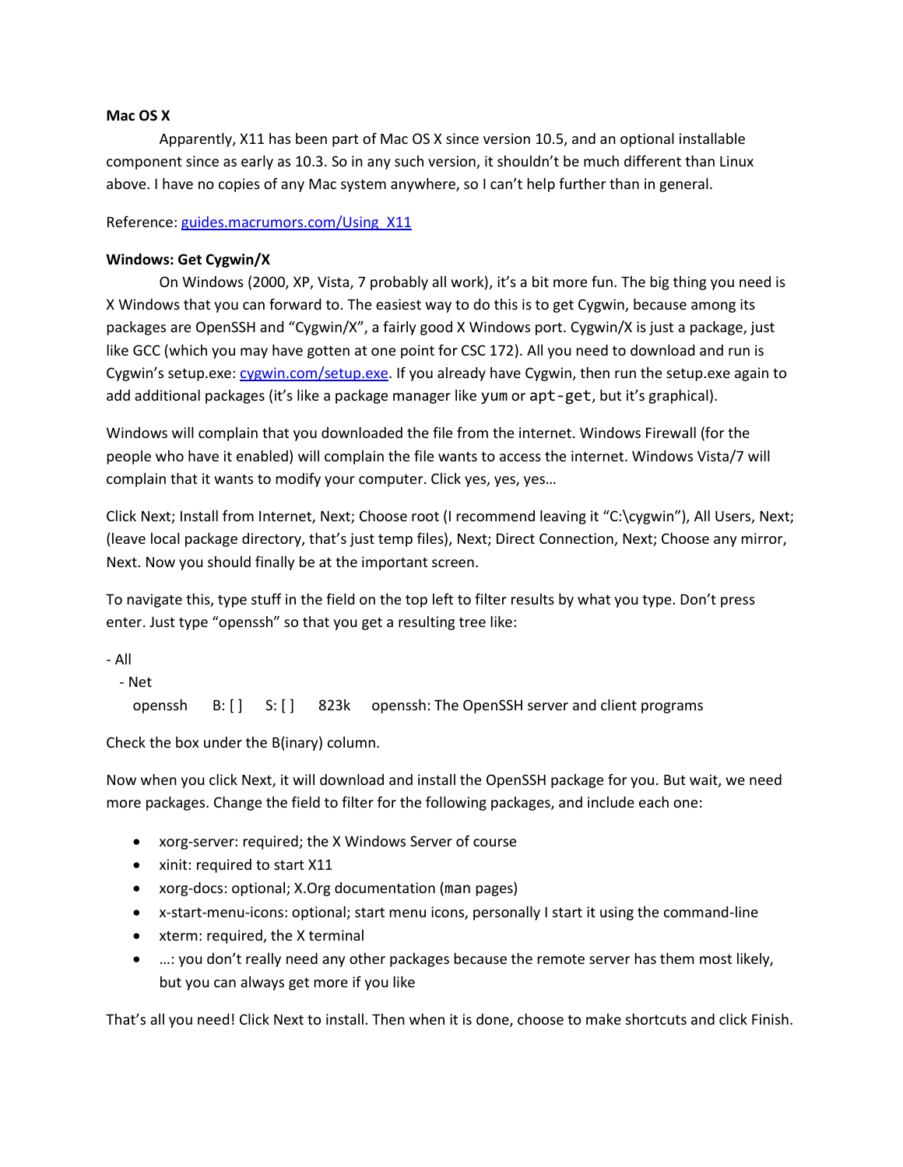### **Mac OS X**

Apparently, X11 has been part of Mac OS X since version 10.5, and an optional installable component since as early as 10.3. So in any such version, it shouldn't be much different than Linux above. I have no copies of any Mac system anywhere, so I can't help further than in general.

Reference: [guides.macrumors.com/Using\\_X11](http://guides.macrumors.com/Using_X11)

# **Windows: Get Cygwin/X**

On Windows (2000, XP, Vista, 7 probably all work), it's a bit more fun. The big thing you need is X Windows that you can forward to. The easiest way to do this is to get Cygwin, because among its packages are OpenSSH and "Cygwin/X", a fairly good X Windows port. Cygwin/X is just a package, just like GCC (which you may have gotten at one point for CSC 172). All you need to download and run is Cygwin's setup.exe: [cygwin.com/setup.exe.](http://cygwin.com/setup.exe) If you already have Cygwin, then run the setup.exe again to add additional packages (it's like a package manager like yum or apt-get, but it's graphical).

Windows will complain that you downloaded the file from the internet. Windows Firewall (for the people who have it enabled) will complain the file wants to access the internet. Windows Vista/7 will complain that it wants to modify your computer. Click yes, yes, yes…

Click Next; Install from Internet, Next; Choose root (I recommend leaving it "C:\cygwin"), All Users, Next; (leave local package directory, that's just temp files), Next; Direct Connection, Next; Choose any mirror, Next. Now you should finally be at the important screen.

To navigate this, type stuff in the field on the top left to filter results by what you type. Don't press enter. Just type "openssh" so that you get a resulting tree like:

- All

- Net

openssh B: [] S: [] 823k openssh: The OpenSSH server and client programs

Check the box under the B(inary) column.

Now when you click Next, it will download and install the OpenSSH package for you. But wait, we need more packages. Change the field to filter for the following packages, and include each one:

- xorg-server: required; the X Windows Server of course
- xinit: required to start X11
- xorg-docs: optional; X.Org documentation (man pages)
- x-start-menu-icons: optional; start menu icons, personally I start it using the command-line
- xterm: required, the X terminal
- …: you don't really need any other packages because the remote server has them most likely, but you can always get more if you like

That's all you need! Click Next to install. Then when it is done, choose to make shortcuts and click Finish.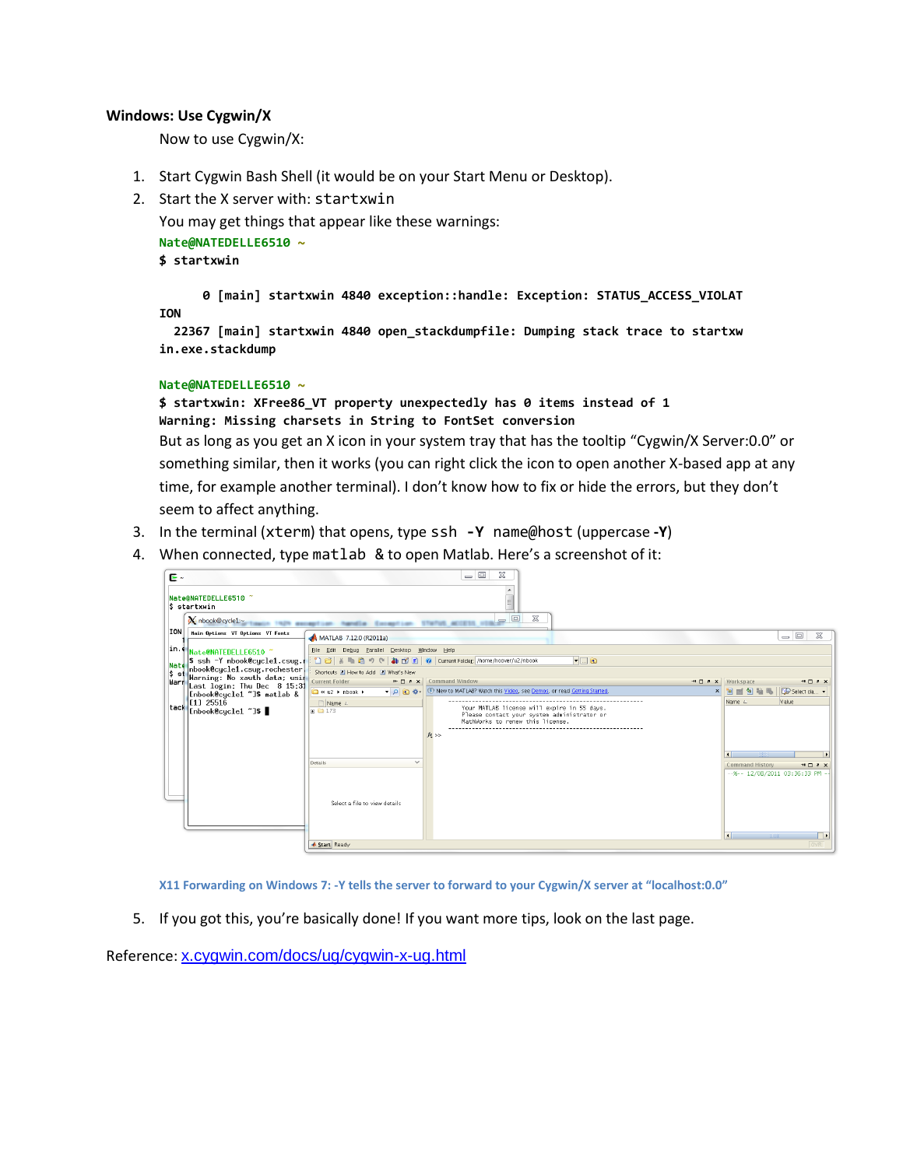### **Windows: Use Cygwin/X**

Now to use Cygwin/X:

- 1. Start Cygwin Bash Shell (it would be on your Start Menu or Desktop).
- 2. Start the X server with: startxwin

You may get things that appear like these warnings: **Nate@NATEDELLE6510 ~ \$ startxwin**

 **0 [main] startxwin 4840 exception::handle: Exception: STATUS\_ACCESS\_VIOLAT ION**

 **22367 [main] startxwin 4840 open\_stackdumpfile: Dumping stack trace to startxw in.exe.stackdump**

#### **Nate@NATEDELLE6510 ~**

**\$ startxwin: XFree86\_VT property unexpectedly has 0 items instead of 1 Warning: Missing charsets in String to FontSet conversion**

But as long as you get an X icon in your system tray that has the tooltip "Cygwin/X Server:0.0" or something similar, then it works (you can right click the icon to open another X-based app at any time, for example another terminal). I don't know how to fix or hide the errors, but they don't seem to affect anything.

- 3. In the terminal (xterm) that opens, type ssh **-Y** name@host (uppercase **-Y**)
- 4. When connected, type matlab & to open Matlab. Here's a screenshot of it:



**X11 Forwarding on Windows 7: -Y tells the server to forward to your Cygwin/X server at "localhost:0.0"**

5. If you got this, you're basically done! If you want more tips, look on the last page.

Reference: [x.cygwin.com/docs/ug/cygwin-x-ug.html](http://x.cygwin.com/docs/ug/cygwin-x-ug.html)